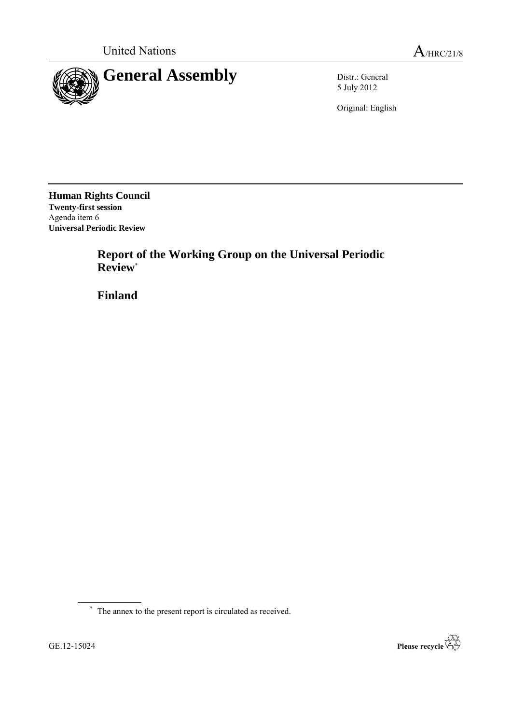

5 July 2012

Original: English

**Human Rights Council Twenty-first session** Agenda item 6 **Universal Periodic Review**

> **Report of the Working Group on the Universal Periodic Review**\*

**Finland**

\* The annex to the present report is circulated as received.

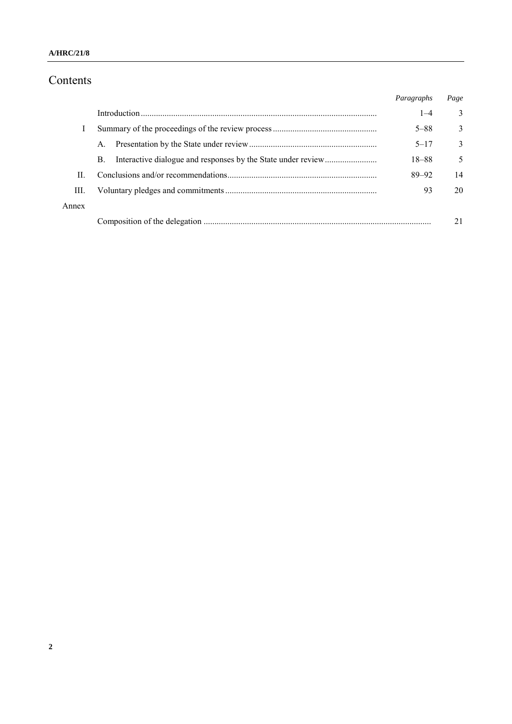# Contents

|       |             | Paragraphs | Page |
|-------|-------------|------------|------|
|       |             | $1 - 4$    | 3    |
|       |             | $5 - 88$   | 3    |
|       | $A_{\cdot}$ | $5 - 17$   | 3    |
|       | B.          | 18-88      | 5    |
| П     |             | $89 - 92$  | 14   |
| Ш.    |             | 93         | 20   |
| Annex |             |            |      |
|       |             |            |      |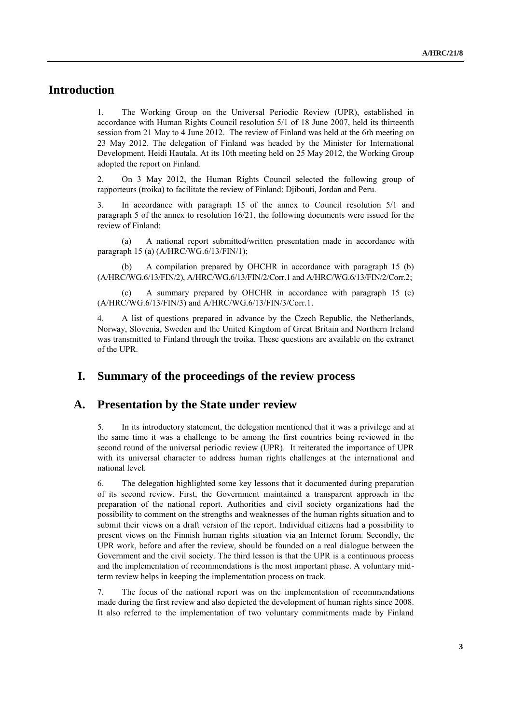## **Introduction**

1. The Working Group on the Universal Periodic Review (UPR), established in accordance with Human Rights Council resolution 5/1 of 18 June 2007, held its thirteenth session from 21 May to 4 June 2012. The review of Finland was held at the 6th meeting on 23 May 2012. The delegation of Finland was headed by the Minister for International Development, Heidi Hautala. At its 10th meeting held on 25 May 2012, the Working Group adopted the report on Finland.

2. On 3 May 2012, the Human Rights Council selected the following group of rapporteurs (troika) to facilitate the review of Finland: Djibouti, Jordan and Peru.

3. In accordance with paragraph 15 of the annex to Council resolution 5/1 and paragraph 5 of the annex to resolution  $16/21$ , the following documents were issued for the review of Finland:

(a) A national report submitted/written presentation made in accordance with paragraph 15 (a) (A/HRC/WG.6/13/FIN/1);

A compilation prepared by OHCHR in accordance with paragraph 15 (b) (A/HRC/WG.6/13/FIN/2), [A/HRC/WG.6/13/FIN/2/Corr.1](http://www.ohchr.org/EN/HRBodies/UPR/Pages/FISession13.aspx) an[d A/HRC/WG.6/13/FIN/2/Corr.2;](http://www.ohchr.org/EN/HRBodies/UPR/Pages/FISession13.aspx)

(c) A summary prepared by OHCHR in accordance with paragraph 15 (c) (A/HRC/WG.6/13/FIN/3) and [A/HRC/WG.6/13/FIN/3/Corr.1.](http://www.ohchr.org/EN/HRBodies/UPR/Pages/FISession13.aspx)

4. A list of questions prepared in advance by the Czech Republic, the Netherlands, Norway, Slovenia, Sweden and the United Kingdom of Great Britain and Northern Ireland was transmitted to Finland through the troika. These questions are available on the extranet of the UPR.

### **I. Summary of the proceedings of the review process**

#### **A. Presentation by the State under review**

5. In its introductory statement, the delegation mentioned that it was a privilege and at the same time it was a challenge to be among the first countries being reviewed in the second round of the universal periodic review (UPR). It reiterated the importance of UPR with its universal character to address human rights challenges at the international and national level.

6. The delegation highlighted some key lessons that it documented during preparation of its second review. First, the Government maintained a transparent approach in the preparation of the national report. Authorities and civil society organizations had the possibility to comment on the strengths and weaknesses of the human rights situation and to submit their views on a draft version of the report. Individual citizens had a possibility to present views on the Finnish human rights situation via an Internet forum. Secondly, the UPR work, before and after the review, should be founded on a real dialogue between the Government and the civil society. The third lesson is that the UPR is a continuous process and the implementation of recommendations is the most important phase. A voluntary midterm review helps in keeping the implementation process on track.

7. The focus of the national report was on the implementation of recommendations made during the first review and also depicted the development of human rights since 2008. It also referred to the implementation of two voluntary commitments made by Finland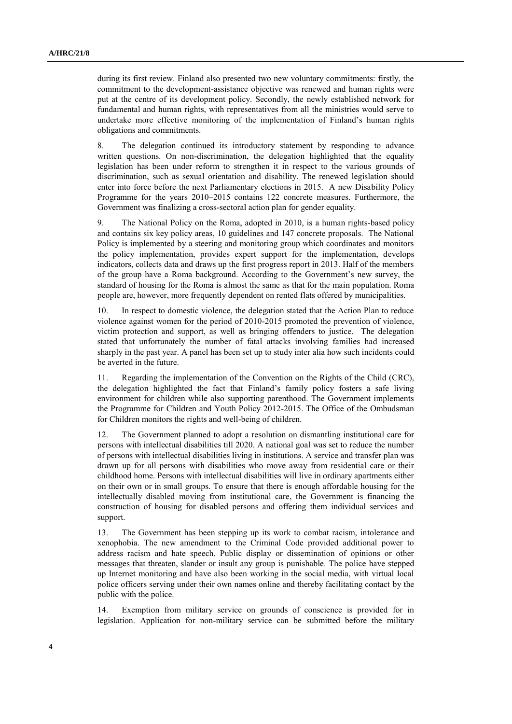during its first review. Finland also presented two new voluntary commitments: firstly, the commitment to the development-assistance objective was renewed and human rights were put at the centre of its development policy. Secondly, the newly established network for fundamental and human rights, with representatives from all the ministries would serve to undertake more effective monitoring of the implementation of Finland's human rights obligations and commitments.

8. The delegation continued its introductory statement by responding to advance written questions. On non-discrimination, the delegation highlighted that the equality legislation has been under reform to strengthen it in respect to the various grounds of discrimination, such as sexual orientation and disability. The renewed legislation should enter into force before the next Parliamentary elections in 2015. A new Disability Policy Programme for the years 2010–2015 contains 122 concrete measures. Furthermore, the Government was finalizing a cross-sectoral action plan for gender equality.

9. The National Policy on the Roma, adopted in 2010, is a human rights-based policy and contains six key policy areas, 10 guidelines and 147 concrete proposals. The National Policy is implemented by a steering and monitoring group which coordinates and monitors the policy implementation, provides expert support for the implementation, develops indicators, collects data and draws up the first progress report in 2013. Half of the members of the group have a Roma background. According to the Government's new survey, the standard of housing for the Roma is almost the same as that for the main population. Roma people are, however, more frequently dependent on rented flats offered by municipalities.

10. In respect to domestic violence, the delegation stated that the Action Plan to reduce violence against women for the period of 2010-2015 promoted the prevention of violence, victim protection and support, as well as bringing offenders to justice. The delegation stated that unfortunately the number of fatal attacks involving families had increased sharply in the past year. A panel has been set up to study inter alia how such incidents could be averted in the future.

11. Regarding the implementation of the Convention on the Rights of the Child (CRC), the delegation highlighted the fact that Finland's family policy fosters a safe living environment for children while also supporting parenthood. The Government implements the Programme for Children and Youth Policy 2012-2015. The Office of the Ombudsman for Children monitors the rights and well-being of children.

12. The Government planned to adopt a resolution on dismantling institutional care for persons with intellectual disabilities till 2020. A national goal was set to reduce the number of persons with intellectual disabilities living in institutions. A service and transfer plan was drawn up for all persons with disabilities who move away from residential care or their childhood home. Persons with intellectual disabilities will live in ordinary apartments either on their own or in small groups. To ensure that there is enough affordable housing for the intellectually disabled moving from institutional care, the Government is financing the construction of housing for disabled persons and offering them individual services and support.

13. The Government has been stepping up its work to combat racism, intolerance and xenophobia. The new amendment to the Criminal Code provided additional power to address racism and hate speech. Public display or dissemination of opinions or other messages that threaten, slander or insult any group is punishable. The police have stepped up Internet monitoring and have also been working in the social media, with virtual local police officers serving under their own names online and thereby facilitating contact by the public with the police.

14. Exemption from military service on grounds of conscience is provided for in legislation. Application for non-military service can be submitted before the military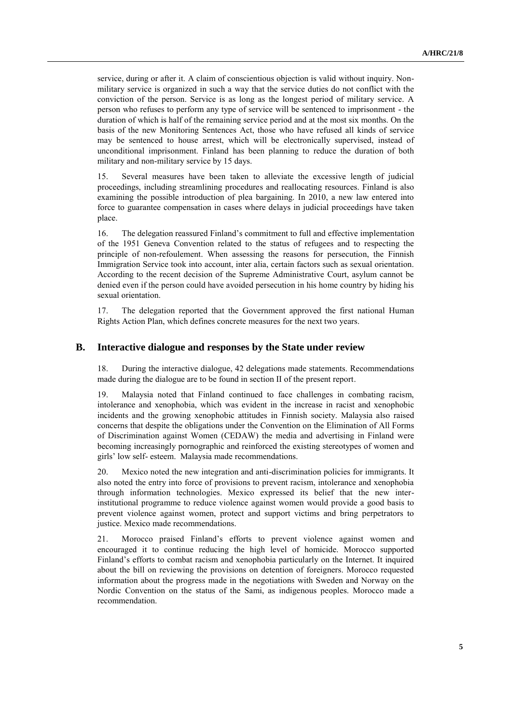service, during or after it. A claim of conscientious objection is valid without inquiry. Nonmilitary service is organized in such a way that the service duties do not conflict with the conviction of the person. Service is as long as the longest period of military service. A person who refuses to perform any type of service will be sentenced to imprisonment - the duration of which is half of the remaining service period and at the most six months. On the basis of the new Monitoring Sentences Act, those who have refused all kinds of service may be sentenced to house arrest, which will be electronically supervised, instead of unconditional imprisonment. Finland has been planning to reduce the duration of both military and non-military service by 15 days.

15. Several measures have been taken to alleviate the excessive length of judicial proceedings, including streamlining procedures and reallocating resources. Finland is also examining the possible introduction of plea bargaining. In 2010, a new law entered into force to guarantee compensation in cases where delays in judicial proceedings have taken place.

16. The delegation reassured Finland's commitment to full and effective implementation of the 1951 Geneva Convention related to the status of refugees and to respecting the principle of non-refoulement. When assessing the reasons for persecution, the Finnish Immigration Service took into account, inter alia, certain factors such as sexual orientation. According to the recent decision of the Supreme Administrative Court, asylum cannot be denied even if the person could have avoided persecution in his home country by hiding his sexual orientation.

17. The delegation reported that the Government approved the first national Human Rights Action Plan, which defines concrete measures for the next two years.

#### **B. Interactive dialogue and responses by the State under review**

18. During the interactive dialogue, 42 delegations made statements. Recommendations made during the dialogue are to be found in section II of the present report.

19. Malaysia noted that Finland continued to face challenges in combating racism, intolerance and xenophobia, which was evident in the increase in racist and xenophobic incidents and the growing xenophobic attitudes in Finnish society. Malaysia also raised concerns that despite the obligations under the Convention on the Elimination of All Forms of Discrimination against Women (CEDAW) the media and advertising in Finland were becoming increasingly pornographic and reinforced the existing stereotypes of women and girls' low self- esteem. Malaysia made recommendations.

20. Mexico noted the new integration and anti-discrimination policies for immigrants. It also noted the entry into force of provisions to prevent racism, intolerance and xenophobia through information technologies. Mexico expressed its belief that the new interinstitutional programme to reduce violence against women would provide a good basis to prevent violence against women, protect and support victims and bring perpetrators to justice. Mexico made recommendations.

21. Morocco praised Finland's efforts to prevent violence against women and encouraged it to continue reducing the high level of homicide. Morocco supported Finland's efforts to combat racism and xenophobia particularly on the Internet. It inquired about the bill on reviewing the provisions on detention of foreigners. Morocco requested information about the progress made in the negotiations with Sweden and Norway on the Nordic Convention on the status of the Sami, as indigenous peoples. Morocco made a recommendation.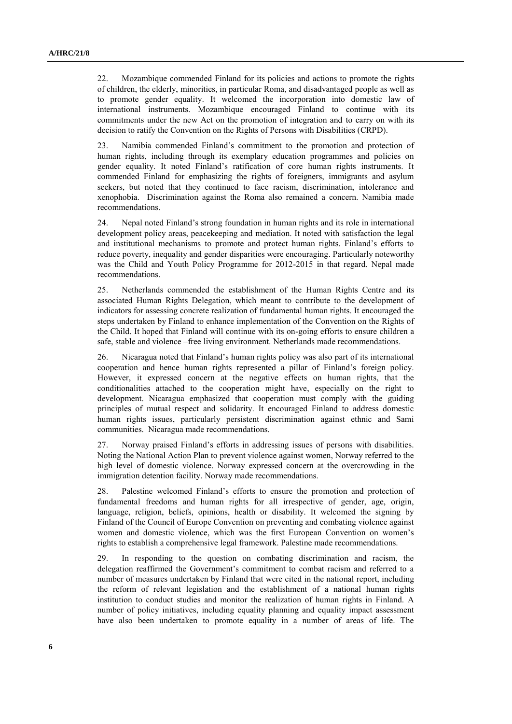22. Mozambique commended Finland for its policies and actions to promote the rights of children, the elderly, minorities, in particular Roma, and disadvantaged people as well as to promote gender equality. It welcomed the incorporation into domestic law of international instruments. Mozambique encouraged Finland to continue with its commitments under the new Act on the promotion of integration and to carry on with its decision to ratify the Convention on the Rights of Persons with Disabilities (CRPD).

23. Namibia commended Finland's commitment to the promotion and protection of human rights, including through its exemplary education programmes and policies on gender equality. It noted Finland's ratification of core human rights instruments. It commended Finland for emphasizing the rights of foreigners, immigrants and asylum seekers, but noted that they continued to face racism, discrimination, intolerance and xenophobia. Discrimination against the Roma also remained a concern. Namibia made recommendations.

24. Nepal noted Finland's strong foundation in human rights and its role in international development policy areas, peacekeeping and mediation. It noted with satisfaction the legal and institutional mechanisms to promote and protect human rights. Finland's efforts to reduce poverty, inequality and gender disparities were encouraging. Particularly noteworthy was the Child and Youth Policy Programme for 2012-2015 in that regard. Nepal made recommendations.

25. Netherlands commended the establishment of the Human Rights Centre and its associated Human Rights Delegation, which meant to contribute to the development of indicators for assessing concrete realization of fundamental human rights. It encouraged the steps undertaken by Finland to enhance implementation of the Convention on the Rights of the Child. It hoped that Finland will continue with its on-going efforts to ensure children a safe, stable and violence –free living environment. Netherlands made recommendations.

26. Nicaragua noted that Finland's human rights policy was also part of its international cooperation and hence human rights represented a pillar of Finland's foreign policy. However, it expressed concern at the negative effects on human rights, that the conditionalities attached to the cooperation might have, especially on the right to development. Nicaragua emphasized that cooperation must comply with the guiding principles of mutual respect and solidarity. It encouraged Finland to address domestic human rights issues, particularly persistent discrimination against ethnic and Sami communities. Nicaragua made recommendations.

27. Norway praised Finland's efforts in addressing issues of persons with disabilities. Noting the National Action Plan to prevent violence against women, Norway referred to the high level of domestic violence. Norway expressed concern at the overcrowding in the immigration detention facility. Norway made recommendations.

28. Palestine welcomed Finland's efforts to ensure the promotion and protection of fundamental freedoms and human rights for all irrespective of gender, age, origin, language, religion, beliefs, opinions, health or disability. It welcomed the signing by Finland of the Council of Europe Convention on preventing and combating violence against women and domestic violence, which was the first European Convention on women's rights to establish a comprehensive legal framework. Palestine made recommendations.

29. In responding to the question on combating discrimination and racism, the delegation reaffirmed the Government's commitment to combat racism and referred to a number of measures undertaken by Finland that were cited in the national report, including the reform of relevant legislation and the establishment of a national human rights institution to conduct studies and monitor the realization of human rights in Finland. A number of policy initiatives, including equality planning and equality impact assessment have also been undertaken to promote equality in a number of areas of life. The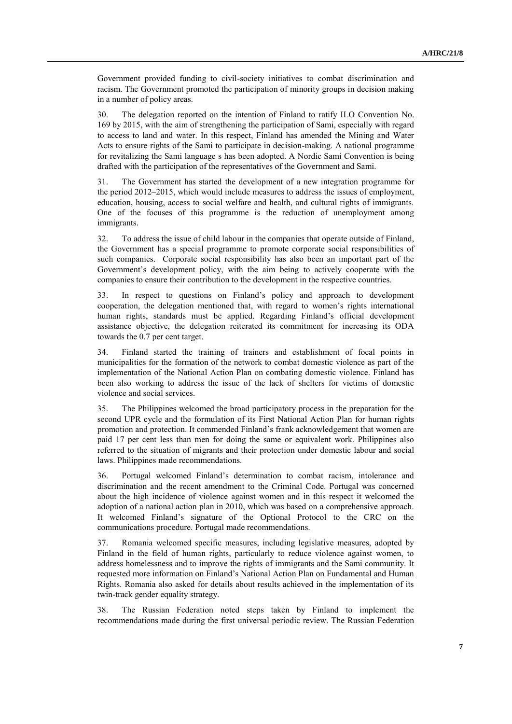Government provided funding to civil-society initiatives to combat discrimination and racism. The Government promoted the participation of minority groups in decision making in a number of policy areas.

30. The delegation reported on the intention of Finland to ratify ILO Convention No. 169 by 2015, with the aim of strengthening the participation of Sami, especially with regard to access to land and water. In this respect, Finland has amended the Mining and Water Acts to ensure rights of the Sami to participate in decision-making. A national programme for revitalizing the Sami language s has been adopted. A Nordic Sami Convention is being drafted with the participation of the representatives of the Government and Sami.

31. The Government has started the development of a new integration programme for the period 2012–2015, which would include measures to address the issues of employment, education, housing, access to social welfare and health, and cultural rights of immigrants. One of the focuses of this programme is the reduction of unemployment among immigrants.

32. To address the issue of child labour in the companies that operate outside of Finland, the Government has a special programme to promote corporate social responsibilities of such companies. Corporate social responsibility has also been an important part of the Government's development policy, with the aim being to actively cooperate with the companies to ensure their contribution to the development in the respective countries.

33. In respect to questions on Finland's policy and approach to development cooperation, the delegation mentioned that, with regard to women's rights international human rights, standards must be applied. Regarding Finland's official development assistance objective, the delegation reiterated its commitment for increasing its ODA towards the 0.7 per cent target.

34. Finland started the training of trainers and establishment of focal points in municipalities for the formation of the network to combat domestic violence as part of the implementation of the National Action Plan on combating domestic violence. Finland has been also working to address the issue of the lack of shelters for victims of domestic violence and social services.

35. The Philippines welcomed the broad participatory process in the preparation for the second UPR cycle and the formulation of its First National Action Plan for human rights promotion and protection. It commended Finland's frank acknowledgement that women are paid 17 per cent less than men for doing the same or equivalent work. Philippines also referred to the situation of migrants and their protection under domestic labour and social laws. Philippines made recommendations.

36. Portugal welcomed Finland's determination to combat racism, intolerance and discrimination and the recent amendment to the Criminal Code. Portugal was concerned about the high incidence of violence against women and in this respect it welcomed the adoption of a national action plan in 2010, which was based on a comprehensive approach. It welcomed Finland's signature of the Optional Protocol to the CRC on the communications procedure. Portugal made recommendations.

37. Romania welcomed specific measures, including legislative measures, adopted by Finland in the field of human rights, particularly to reduce violence against women, to address homelessness and to improve the rights of immigrants and the Sami community. It requested more information on Finland's National Action Plan on Fundamental and Human Rights. Romania also asked for details about results achieved in the implementation of its twin-track gender equality strategy.

38. The Russian Federation noted steps taken by Finland to implement the recommendations made during the first universal periodic review. The Russian Federation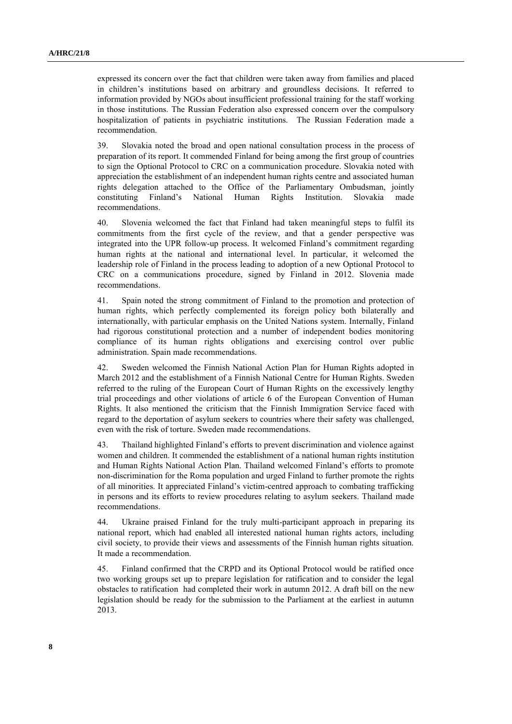expressed its concern over the fact that children were taken away from families and placed in children's institutions based on arbitrary and groundless decisions. It referred to information provided by NGOs about insufficient professional training for the staff working in those institutions. The Russian Federation also expressed concern over the compulsory hospitalization of patients in psychiatric institutions. The Russian Federation made a recommendation.

39. Slovakia noted the broad and open national consultation process in the process of preparation of its report. It commended Finland for being among the first group of countries to sign the Optional Protocol to CRC on a communication procedure. Slovakia noted with appreciation the establishment of an independent human rights centre and associated human rights delegation attached to the Office of the Parliamentary Ombudsman, jointly constituting Finland's National Human Rights Institution. Slovakia made recommendations.

40. Slovenia welcomed the fact that Finland had taken meaningful steps to fulfil its commitments from the first cycle of the review, and that a gender perspective was integrated into the UPR follow-up process. It welcomed Finland's commitment regarding human rights at the national and international level. In particular, it welcomed the leadership role of Finland in the process leading to adoption of a new Optional Protocol to CRC on a communications procedure, signed by Finland in 2012. Slovenia made recommendations.

41. Spain noted the strong commitment of Finland to the promotion and protection of human rights, which perfectly complemented its foreign policy both bilaterally and internationally, with particular emphasis on the United Nations system. Internally, Finland had rigorous constitutional protection and a number of independent bodies monitoring compliance of its human rights obligations and exercising control over public administration. Spain made recommendations.

42. Sweden welcomed the Finnish National Action Plan for Human Rights adopted in March 2012 and the establishment of a Finnish National Centre for Human Rights. Sweden referred to the ruling of the European Court of Human Rights on the excessively lengthy trial proceedings and other violations of article 6 of the European Convention of Human Rights. It also mentioned the criticism that the Finnish Immigration Service faced with regard to the deportation of asylum seekers to countries where their safety was challenged, even with the risk of torture. Sweden made recommendations.

43. Thailand highlighted Finland's efforts to prevent discrimination and violence against women and children. It commended the establishment of a national human rights institution and Human Rights National Action Plan. Thailand welcomed Finland's efforts to promote non-discrimination for the Roma population and urged Finland to further promote the rights of all minorities. It appreciated Finland's victim-centred approach to combating trafficking in persons and its efforts to review procedures relating to asylum seekers. Thailand made recommendations.

44. Ukraine praised Finland for the truly multi-participant approach in preparing its national report, which had enabled all interested national human rights actors, including civil society, to provide their views and assessments of the Finnish human rights situation. It made a recommendation.

45. Finland confirmed that the CRPD and its Optional Protocol would be ratified once two working groups set up to prepare legislation for ratification and to consider the legal obstacles to ratification had completed their work in autumn 2012. A draft bill on the new legislation should be ready for the submission to the Parliament at the earliest in autumn 2013.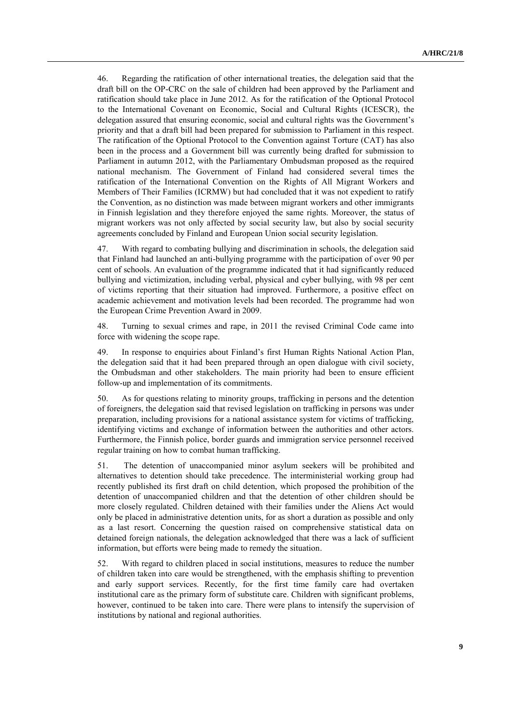46. Regarding the ratification of other international treaties, the delegation said that the draft bill on the OP-CRC on the sale of children had been approved by the Parliament and ratification should take place in June 2012. As for the ratification of the Optional Protocol to the International Covenant on Economic, Social and Cultural Rights (ICESCR), the delegation assured that ensuring economic, social and cultural rights was the Government's priority and that a draft bill had been prepared for submission to Parliament in this respect. The ratification of the Optional Protocol to the Convention against Torture (CAT) has also been in the process and a Government bill was currently being drafted for submission to Parliament in autumn 2012, with the Parliamentary Ombudsman proposed as the required national mechanism. The Government of Finland had considered several times the ratification of the International Convention on the Rights of All Migrant Workers and Members of Their Families (ICRMW) but had concluded that it was not expedient to ratify the Convention, as no distinction was made between migrant workers and other immigrants in Finnish legislation and they therefore enjoyed the same rights. Moreover, the status of migrant workers was not only affected by social security law, but also by social security agreements concluded by Finland and European Union social security legislation.

47. With regard to combating bullying and discrimination in schools, the delegation said that Finland had launched an anti-bullying programme with the participation of over 90 per cent of schools. An evaluation of the programme indicated that it had significantly reduced bullying and victimization, including verbal, physical and cyber bullying, with 98 per cent of victims reporting that their situation had improved. Furthermore, a positive effect on academic achievement and motivation levels had been recorded. The programme had won the European Crime Prevention Award in 2009.

48. Turning to sexual crimes and rape, in 2011 the revised Criminal Code came into force with widening the scope rape.

49. In response to enquiries about Finland's first Human Rights National Action Plan, the delegation said that it had been prepared through an open dialogue with civil society, the Ombudsman and other stakeholders. The main priority had been to ensure efficient follow-up and implementation of its commitments.

50. As for questions relating to minority groups, trafficking in persons and the detention of foreigners, the delegation said that revised legislation on trafficking in persons was under preparation, including provisions for a national assistance system for victims of trafficking, identifying victims and exchange of information between the authorities and other actors. Furthermore, the Finnish police, border guards and immigration service personnel received regular training on how to combat human trafficking.

51. The detention of unaccompanied minor asylum seekers will be prohibited and alternatives to detention should take precedence. The interministerial working group had recently published its first draft on child detention, which proposed the prohibition of the detention of unaccompanied children and that the detention of other children should be more closely regulated. Children detained with their families under the Aliens Act would only be placed in administrative detention units, for as short a duration as possible and only as a last resort. Concerning the question raised on comprehensive statistical data on detained foreign nationals, the delegation acknowledged that there was a lack of sufficient information, but efforts were being made to remedy the situation.

52. With regard to children placed in social institutions, measures to reduce the number of children taken into care would be strengthened, with the emphasis shifting to prevention and early support services. Recently, for the first time family care had overtaken institutional care as the primary form of substitute care. Children with significant problems, however, continued to be taken into care. There were plans to intensify the supervision of institutions by national and regional authorities.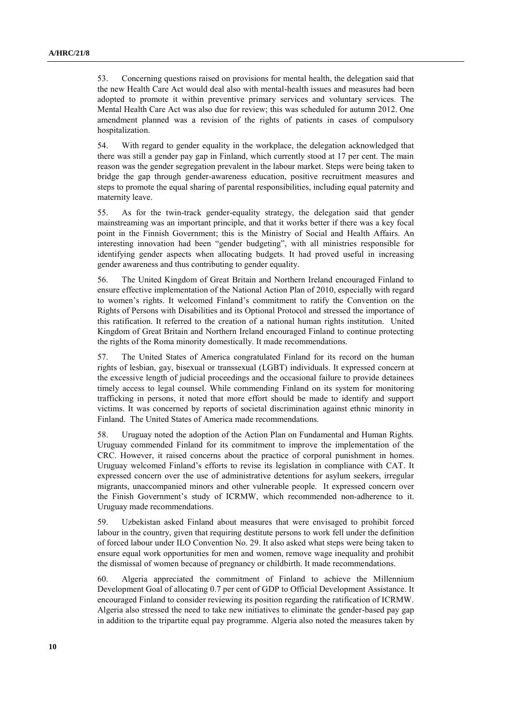53. Concerning questions raised on provisions for mental health, the delegation said that the new Health Care Act would deal also with mental-health issues and measures had been adopted to promote it within preventive primary services and voluntary services. The Mental Health Care Act was also due for review; this was scheduled for autumn 2012. One amendment planned was a revision of the rights of patients in cases of compulsory hospitalization.

54. With regard to gender equality in the workplace, the delegation acknowledged that there was still a gender pay gap in Finland, which currently stood at 17 per cent. The main reason was the gender segregation prevalent in the labour market. Steps were being taken to bridge the gap through gender-awareness education, positive recruitment measures and steps to promote the equal sharing of parental responsibilities, including equal paternity and maternity leave.

55. As for the twin-track gender-equality strategy, the delegation said that gender mainstreaming was an important principle, and that it works better if there was a key focal point in the Finnish Government; this is the Ministry of Social and Health Affairs. An interesting innovation had been "gender budgeting", with all ministries responsible for identifying gender aspects when allocating budgets. It had proved useful in increasing gender awareness and thus contributing to gender equality.

56. The United Kingdom of Great Britain and Northern Ireland encouraged Finland to ensure effective implementation of the National Action Plan of 2010, especially with regard to women's rights. It welcomed Finland's commitment to ratify the Convention on the Rights of Persons with Disabilities and its Optional Protocol and stressed the importance of this ratification. It referred to the creation of a national human rights institution. United Kingdom of Great Britain and Northern Ireland encouraged Finland to continue protecting the rights of the Roma minority domestically. It made recommendations.

57. The United States of America congratulated Finland for its record on the human rights of lesbian, gay, bisexual or transsexual (LGBT) individuals. It expressed concern at the excessive length of judicial proceedings and the occasional failure to provide detainees timely access to legal counsel. While commending Finland on its system for monitoring trafficking in persons, it noted that more effort should be made to identify and support victims. It was concerned by reports of societal discrimination against ethnic minority in Finland. The United States of America made recommendations.

58. Uruguay noted the adoption of the Action Plan on Fundamental and Human Rights. Uruguay commended Finland for its commitment to improve the implementation of the CRC. However, it raised concerns about the practice of corporal punishment in homes. Uruguay welcomed Finland's efforts to revise its legislation in compliance with CAT. It expressed concern over the use of administrative detentions for asylum seekers, irregular migrants, unaccompanied minors and other vulnerable people. It expressed concern over the Finish Government's study of ICRMW, which recommended non-adherence to it. Uruguay made recommendations.

59. Uzbekistan asked Finland about measures that were envisaged to prohibit forced labour in the country, given that requiring destitute persons to work fell under the definition of forced labour under ILO Convention No. 29. It also asked what steps were being taken to ensure equal work opportunities for men and women, remove wage inequality and prohibit the dismissal of women because of pregnancy or childbirth. It made recommendations.

60. Algeria appreciated the commitment of Finland to achieve the Millennium Development Goal of allocating 0.7 per cent of GDP to Official Development Assistance. It encouraged Finland to consider reviewing its position regarding the ratification of ICRMW. Algeria also stressed the need to take new initiatives to eliminate the gender-based pay gap in addition to the tripartite equal pay programme. Algeria also noted the measures taken by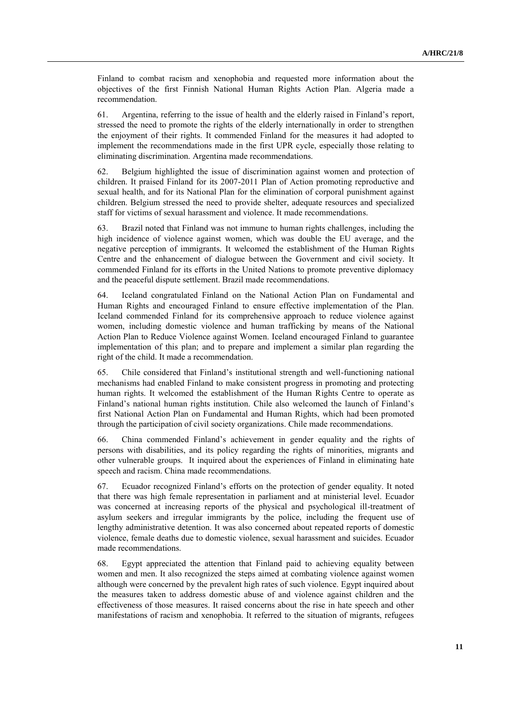Finland to combat racism and xenophobia and requested more information about the objectives of the first Finnish National Human Rights Action Plan. Algeria made a recommendation.

61. Argentina, referring to the issue of health and the elderly raised in Finland's report, stressed the need to promote the rights of the elderly internationally in order to strengthen the enjoyment of their rights. It commended Finland for the measures it had adopted to implement the recommendations made in the first UPR cycle, especially those relating to eliminating discrimination. Argentina made recommendations.

62. Belgium highlighted the issue of discrimination against women and protection of children. It praised Finland for its 2007-2011 Plan of Action promoting reproductive and sexual health, and for its National Plan for the elimination of corporal punishment against children. Belgium stressed the need to provide shelter, adequate resources and specialized staff for victims of sexual harassment and violence. It made recommendations.

63. Brazil noted that Finland was not immune to human rights challenges, including the high incidence of violence against women, which was double the EU average, and the negative perception of immigrants. It welcomed the establishment of the Human Rights Centre and the enhancement of dialogue between the Government and civil society. It commended Finland for its efforts in the United Nations to promote preventive diplomacy and the peaceful dispute settlement. Brazil made recommendations.

64. Iceland congratulated Finland on the National Action Plan on Fundamental and Human Rights and encouraged Finland to ensure effective implementation of the Plan. Iceland commended Finland for its comprehensive approach to reduce violence against women, including domestic violence and human trafficking by means of the National Action Plan to Reduce Violence against Women. Iceland encouraged Finland to guarantee implementation of this plan; and to prepare and implement a similar plan regarding the right of the child. It made a recommendation.

65. Chile considered that Finland's institutional strength and well-functioning national mechanisms had enabled Finland to make consistent progress in promoting and protecting human rights. It welcomed the establishment of the Human Rights Centre to operate as Finland's national human rights institution. Chile also welcomed the launch of Finland's first National Action Plan on Fundamental and Human Rights, which had been promoted through the participation of civil society organizations. Chile made recommendations.

66. China commended Finland's achievement in gender equality and the rights of persons with disabilities, and its policy regarding the rights of minorities, migrants and other vulnerable groups. It inquired about the experiences of Finland in eliminating hate speech and racism. China made recommendations.

67. Ecuador recognized Finland's efforts on the protection of gender equality. It noted that there was high female representation in parliament and at ministerial level. Ecuador was concerned at increasing reports of the physical and psychological ill-treatment of asylum seekers and irregular immigrants by the police, including the frequent use of lengthy administrative detention. It was also concerned about repeated reports of domestic violence, female deaths due to domestic violence, sexual harassment and suicides. Ecuador made recommendations.

68. Egypt appreciated the attention that Finland paid to achieving equality between women and men. It also recognized the steps aimed at combating violence against women although were concerned by the prevalent high rates of such violence. Egypt inquired about the measures taken to address domestic abuse of and violence against children and the effectiveness of those measures. It raised concerns about the rise in hate speech and other manifestations of racism and xenophobia. It referred to the situation of migrants, refugees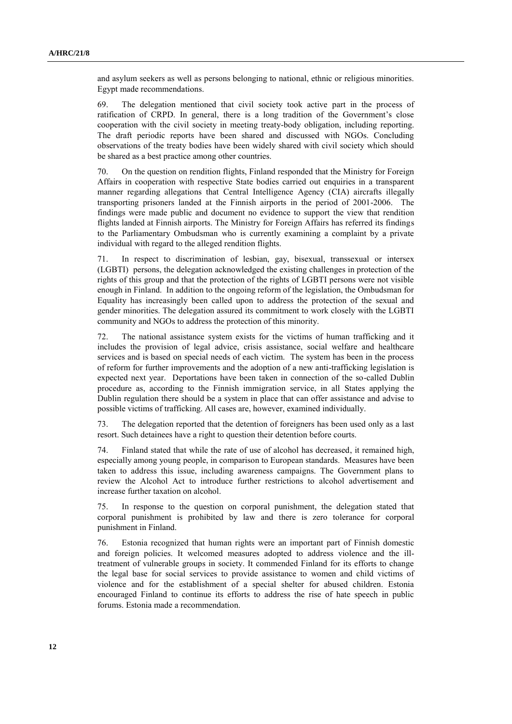and asylum seekers as well as persons belonging to national, ethnic or religious minorities. Egypt made recommendations.

69. The delegation mentioned that civil society took active part in the process of ratification of CRPD. In general, there is a long tradition of the Government's close cooperation with the civil society in meeting treaty-body obligation, including reporting. The draft periodic reports have been shared and discussed with NGOs. Concluding observations of the treaty bodies have been widely shared with civil society which should be shared as a best practice among other countries.

70. On the question on rendition flights, Finland responded that the Ministry for Foreign Affairs in cooperation with respective State bodies carried out enquiries in a transparent manner regarding allegations that Central Intelligence Agency (CIA) aircrafts illegally transporting prisoners landed at the Finnish airports in the period of 2001-2006. The findings were made public and document no evidence to support the view that rendition flights landed at Finnish airports. The Ministry for Foreign Affairs has referred its findings to the Parliamentary Ombudsman who is currently examining a complaint by a private individual with regard to the alleged rendition flights.

71. In respect to discrimination of lesbian, gay, bisexual, transsexual or intersex (LGBTI) persons, the delegation acknowledged the existing challenges in protection of the rights of this group and that the protection of the rights of LGBTI persons were not visible enough in Finland. In addition to the ongoing reform of the legislation, the Ombudsman for Equality has increasingly been called upon to address the protection of the sexual and gender minorities. The delegation assured its commitment to work closely with the LGBTI community and NGOs to address the protection of this minority.

72. The national assistance system exists for the victims of human trafficking and it includes the provision of legal advice, crisis assistance, social welfare and healthcare services and is based on special needs of each victim. The system has been in the process of reform for further improvements and the adoption of a new anti-trafficking legislation is expected next year. Deportations have been taken in connection of the so-called Dublin procedure as, according to the Finnish immigration service, in all States applying the Dublin regulation there should be a system in place that can offer assistance and advise to possible victims of trafficking. All cases are, however, examined individually.

73. The delegation reported that the detention of foreigners has been used only as a last resort. Such detainees have a right to question their detention before courts.

74. Finland stated that while the rate of use of alcohol has decreased, it remained high, especially among young people, in comparison to European standards. Measures have been taken to address this issue, including awareness campaigns. The Government plans to review the Alcohol Act to introduce further restrictions to alcohol advertisement and increase further taxation on alcohol.

75. In response to the question on corporal punishment, the delegation stated that corporal punishment is prohibited by law and there is zero tolerance for corporal punishment in Finland.

76. Estonia recognized that human rights were an important part of Finnish domestic and foreign policies. It welcomed measures adopted to address violence and the illtreatment of vulnerable groups in society. It commended Finland for its efforts to change the legal base for social services to provide assistance to women and child victims of violence and for the establishment of a special shelter for abused children. Estonia encouraged Finland to continue its efforts to address the rise of hate speech in public forums. Estonia made a recommendation.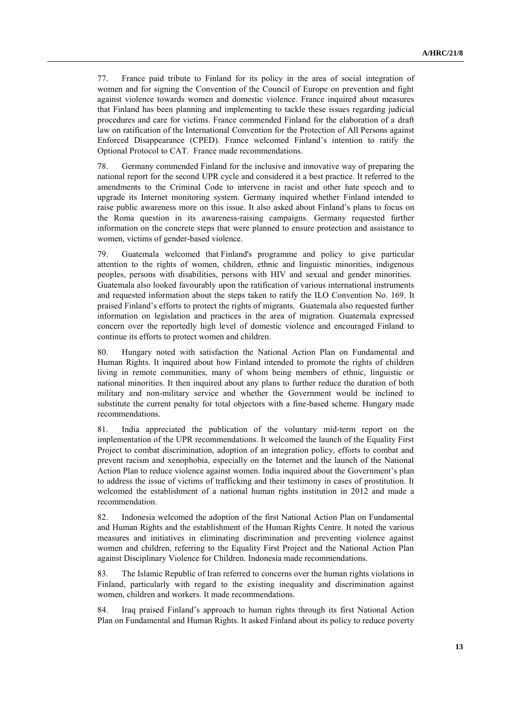77. France paid tribute to Finland for its policy in the area of social integration of women and for signing the Convention of the Council of Europe on prevention and fight against violence towards women and domestic violence. France inquired about measures that Finland has been planning and implementing to tackle these issues regarding judicial procedures and care for victims. France commended Finland for the elaboration of a draft law on ratification of the International Convention for the Protection of All Persons against Enforced Disappearance (CPED). France welcomed Finland's intention to ratify the Optional Protocol to CAT. France made recommendations.

78. Germany commended Finland for the inclusive and innovative way of preparing the national report for the second UPR cycle and considered it a best practice. It referred to the amendments to the Criminal Code to intervene in racist and other hate speech and to upgrade its Internet monitoring system. Germany inquired whether Finland intended to raise public awareness more on this issue. It also asked about Finland's plans to focus on the Roma question in its awareness-raising campaigns. Germany requested further information on the concrete steps that were planned to ensure protection and assistance to women, victims of gender-based violence.

79. Guatemala welcomed that Finland's programme and policy to give particular attention to the rights of women, children, ethnic and linguistic minorities, indigenous peoples, persons with disabilities, persons with HIV and sexual and gender minorities. Guatemala also looked favourably upon the ratification of various international instruments and requested information about the steps taken to ratify the ILO Convention No. 169. It praised Finland's efforts to protect the rights of migrants. Guatemala also requested further information on legislation and practices in the area of migration. Guatemala expressed concern over the reportedly high level of domestic violence and encouraged Finland to continue its efforts to protect women and children.

80. Hungary noted with satisfaction the National Action Plan on Fundamental and Human Rights. It inquired about how Finland intended to promote the rights of children living in remote communities, many of whom being members of ethnic, linguistic or national minorities. It then inquired about any plans to further reduce the duration of both military and non-military service and whether the Government would be inclined to substitute the current penalty for total objectors with a fine-based scheme. Hungary made recommendations.

81. India appreciated the publication of the voluntary mid-term report on the implementation of the UPR recommendations. It welcomed the launch of the Equality First Project to combat discrimination, adoption of an integration policy, efforts to combat and prevent racism and xenophobia, especially on the Internet and the launch of the National Action Plan to reduce violence against women. India inquired about the Government's plan to address the issue of victims of trafficking and their testimony in cases of prostitution. It welcomed the establishment of a national human rights institution in 2012 and made a recommendation.

82. Indonesia welcomed the adoption of the first National Action Plan on Fundamental and Human Rights and the establishment of the Human Rights Centre. It noted the various measures and initiatives in eliminating discrimination and preventing violence against women and children, referring to the Equality First Project and the National Action Plan against Disciplinary Violence for Children. Indonesia made recommendations.

83. The Islamic Republic of Iran referred to concerns over the human rights violations in Finland, particularly with regard to the existing inequality and discrimination against women, children and workers. It made recommendations.

84. Iraq praised Finland's approach to human rights through its first National Action Plan on Fundamental and Human Rights. It asked Finland about its policy to reduce poverty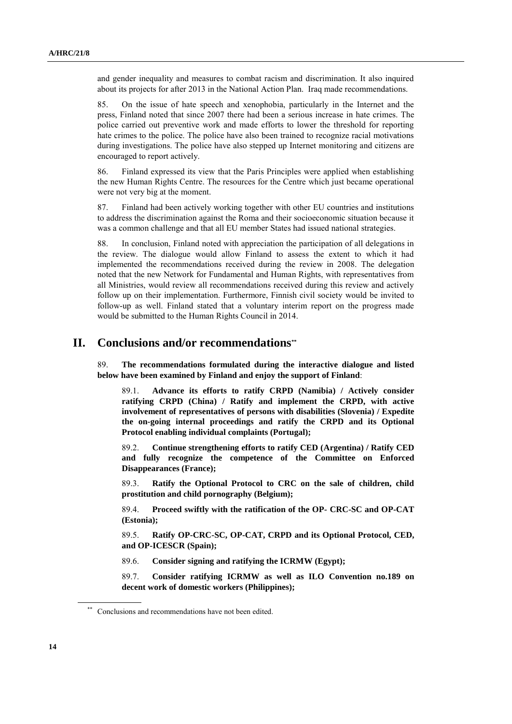and gender inequality and measures to combat racism and discrimination. It also inquired about its projects for after 2013 in the National Action Plan. Iraq made recommendations.

85. On the issue of hate speech and xenophobia, particularly in the Internet and the press, Finland noted that since 2007 there had been a serious increase in hate crimes. The police carried out preventive work and made efforts to lower the threshold for reporting hate crimes to the police. The police have also been trained to recognize racial motivations during investigations. The police have also stepped up Internet monitoring and citizens are encouraged to report actively.

86. Finland expressed its view that the Paris Principles were applied when establishing the new Human Rights Centre. The resources for the Centre which just became operational were not very big at the moment.

87. Finland had been actively working together with other EU countries and institutions to address the discrimination against the Roma and their socioeconomic situation because it was a common challenge and that all EU member States had issued national strategies.

88. In conclusion, Finland noted with appreciation the participation of all delegations in the review. The dialogue would allow Finland to assess the extent to which it had implemented the recommendations received during the review in 2008. The delegation noted that the new Network for Fundamental and Human Rights, with representatives from all Ministries, would review all recommendations received during this review and actively follow up on their implementation. Furthermore, Finnish civil society would be invited to follow-up as well. Finland stated that a voluntary interim report on the progress made would be submitted to the Human Rights Council in 2014.

## **II. Conclusions and/or recommendations\*\***

89. **The recommendations formulated during the interactive dialogue and listed below have been examined by Finland and enjoy the support of Finland**:

89.1. **Advance its efforts to ratify CRPD (Namibia) / Actively consider ratifying CRPD (China) / Ratify and implement the CRPD, with active involvement of representatives of persons with disabilities (Slovenia) / Expedite the on-going internal proceedings and ratify the CRPD and its Optional Protocol enabling individual complaints (Portugal);**

89.2. **Continue strengthening efforts to ratify CED (Argentina) / Ratify CED and fully recognize the competence of the Committee on Enforced Disappearances (France);**

89.3. **Ratify the Optional Protocol to CRC on the sale of children, child prostitution and child pornography (Belgium);**

89.4. **Proceed swiftly with the ratification of the OP- CRC-SC and OP-CAT (Estonia);**

89.5. **Ratify OP-CRC-SC, OP-CAT, CRPD and its Optional Protocol, CED, and OP-ICESCR (Spain);**

89.6. **Consider signing and ratifying the ICRMW (Egypt);**

89.7. **Consider ratifying ICRMW as well as ILO Convention no.189 on decent work of domestic workers (Philippines);**

<sup>\*\*</sup> Conclusions and recommendations have not been edited.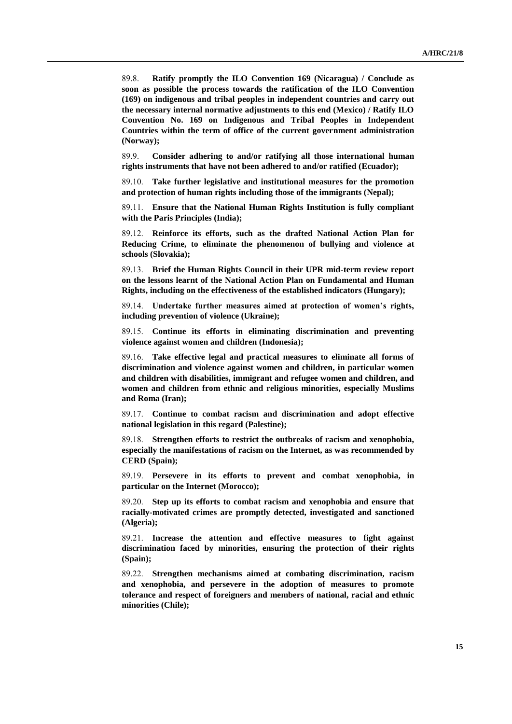89.8. **Ratify promptly the ILO Convention 169 (Nicaragua) / Conclude as soon as possible the process towards the ratification of the ILO Convention (169) on indigenous and tribal peoples in independent countries and carry out the necessary internal normative adjustments to this end (Mexico) / Ratify ILO Convention No. 169 on Indigenous and Tribal Peoples in Independent Countries within the term of office of the current government administration (Norway);**

89.9. **Consider adhering to and/or ratifying all those international human rights instruments that have not been adhered to and/or ratified (Ecuador);**

89.10. **Take further legislative and institutional measures for the promotion and protection of human rights including those of the immigrants (Nepal);**

89.11. **Ensure that the National Human Rights Institution is fully compliant with the Paris Principles (India);**

89.12. **Reinforce its efforts, such as the drafted National Action Plan for Reducing Crime, to eliminate the phenomenon of bullying and violence at schools (Slovakia);**

89.13. **Brief the Human Rights Council in their UPR mid-term review report on the lessons learnt of the National Action Plan on Fundamental and Human Rights, including on the effectiveness of the established indicators (Hungary);**

89.14. **Undertake further measures aimed at protection of women's rights, including prevention of violence (Ukraine);**

89.15. **Continue its efforts in eliminating discrimination and preventing violence against women and children (Indonesia);**

89.16. **Take effective legal and practical measures to eliminate all forms of discrimination and violence against women and children, in particular women and children with disabilities, immigrant and refugee women and children, and women and children from ethnic and religious minorities, especially Muslims and Roma (Iran);**

89.17. **Continue to combat racism and discrimination and adopt effective national legislation in this regard (Palestine);**

89.18. **Strengthen efforts to restrict the outbreaks of racism and xenophobia, especially the manifestations of racism on the Internet, as was recommended by CERD (Spain);**

89.19. **Persevere in its efforts to prevent and combat xenophobia, in particular on the Internet (Morocco);**

89.20. **Step up its efforts to combat racism and xenophobia and ensure that racially-motivated crimes are promptly detected, investigated and sanctioned (Algeria);**

89.21. **Increase the attention and effective measures to fight against discrimination faced by minorities, ensuring the protection of their rights (Spain);**

89.22. **Strengthen mechanisms aimed at combating discrimination, racism and xenophobia, and persevere in the adoption of measures to promote tolerance and respect of foreigners and members of national, racial and ethnic minorities (Chile);**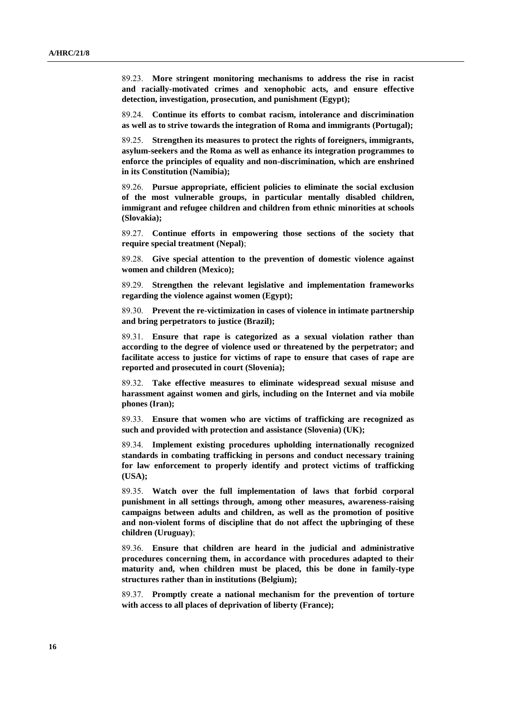89.23. **More stringent monitoring mechanisms to address the rise in racist and racially-motivated crimes and xenophobic acts, and ensure effective detection, investigation, prosecution, and punishment (Egypt);**

89.24. **Continue its efforts to combat racism, intolerance and discrimination as well as to strive towards the integration of Roma and immigrants (Portugal);**

89.25. **Strengthen its measures to protect the rights of foreigners, immigrants, asylum-seekers and the Roma as well as enhance its integration programmes to enforce the principles of equality and non-discrimination, which are enshrined in its Constitution (Namibia);**

89.26. **Pursue appropriate, efficient policies to eliminate the social exclusion of the most vulnerable groups, in particular mentally disabled children, immigrant and refugee children and children from ethnic minorities at schools (Slovakia);**

89.27. **Continue efforts in empowering those sections of the society that require special treatment (Nepal)**;

89.28. **Give special attention to the prevention of domestic violence against women and children (Mexico);**

89.29. **Strengthen the relevant legislative and implementation frameworks regarding the violence against women (Egypt);**

89.30. **Prevent the re-victimization in cases of violence in intimate partnership and bring perpetrators to justice (Brazil);**

89.31. **Ensure that rape is categorized as a sexual violation rather than according to the degree of violence used or threatened by the perpetrator; and facilitate access to justice for victims of rape to ensure that cases of rape are reported and prosecuted in court (Slovenia);**

89.32. **Take effective measures to eliminate widespread sexual misuse and harassment against women and girls, including on the Internet and via mobile phones (Iran);**

89.33. **Ensure that women who are victims of trafficking are recognized as such and provided with protection and assistance (Slovenia) (UK);**

89.34. **Implement existing procedures upholding internationally recognized standards in combating trafficking in persons and conduct necessary training for law enforcement to properly identify and protect victims of trafficking (USA);**

89.35. **Watch over the full implementation of laws that forbid corporal punishment in all settings through, among other measures, awareness-raising campaigns between adults and children, as well as the promotion of positive and non-violent forms of discipline that do not affect the upbringing of these children (Uruguay)**;

89.36. **Ensure that children are heard in the judicial and administrative procedures concerning them, in accordance with procedures adapted to their maturity and, when children must be placed, this be done in family-type structures rather than in institutions (Belgium);**

89.37. **Promptly create a national mechanism for the prevention of torture with access to all places of deprivation of liberty (France);**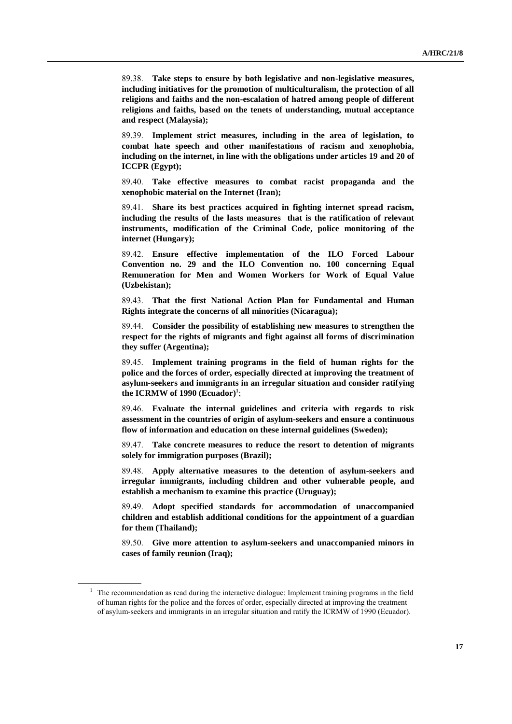89.38. **Take steps to ensure by both legislative and non-legislative measures, including initiatives for the promotion of multiculturalism, the protection of all religions and faiths and the non-escalation of hatred among people of different religions and faiths, based on the tenets of understanding, mutual acceptance and respect (Malaysia);**

89.39. **Implement strict measures, including in the area of legislation, to combat hate speech and other manifestations of racism and xenophobia, including on the internet, in line with the obligations under articles 19 and 20 of ICCPR (Egypt);**

89.40. **Take effective measures to combat racist propaganda and the xenophobic material on the Internet (Iran);**

89.41. **Share its best practices acquired in fighting internet spread racism, including the results of the lasts measures that is the ratification of relevant instruments, modification of the Criminal Code, police monitoring of the internet (Hungary);**

89.42. **Ensure effective implementation of the ILO Forced Labour Convention no. 29 and the ILO Convention no. 100 concerning Equal Remuneration for Men and Women Workers for Work of Equal Value (Uzbekistan);**

89.43. **That the first National Action Plan for Fundamental and Human Rights integrate the concerns of all minorities (Nicaragua);**

89.44. **Consider the possibility of establishing new measures to strengthen the respect for the rights of migrants and fight against all forms of discrimination they suffer (Argentina);**

89.45. **Implement training programs in the field of human rights for the police and the forces of order, especially directed at improving the treatment of asylum-seekers and immigrants in an irregular situation and consider ratifying the ICRMW of 1990 (Ecuador) 1** ;

89.46. **Evaluate the internal guidelines and criteria with regards to risk assessment in the countries of origin of asylum-seekers and ensure a continuous flow of information and education on these internal guidelines (Sweden);**

89.47. **Take concrete measures to reduce the resort to detention of migrants solely for immigration purposes (Brazil);**

89.48. **Apply alternative measures to the detention of asylum-seekers and irregular immigrants, including children and other vulnerable people, and establish a mechanism to examine this practice (Uruguay);**

89.49. **Adopt specified standards for accommodation of unaccompanied children and establish additional conditions for the appointment of a guardian for them (Thailand);**

89.50. **Give more attention to asylum-seekers and unaccompanied minors in cases of family reunion (Iraq);**

<sup>&</sup>lt;sup>1</sup> The recommendation as read during the interactive dialogue: Implement training programs in the field of human rights for the police and the forces of order, especially directed at improving the treatment of asylum-seekers and immigrants in an irregular situation and ratify the ICRMW of 1990 (Ecuador).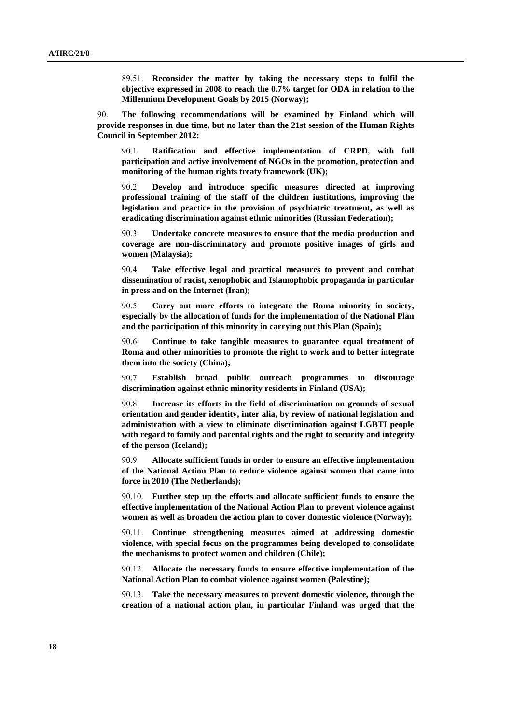89.51. **Reconsider the matter by taking the necessary steps to fulfil the objective expressed in 2008 to reach the 0.7% target for ODA in relation to the Millennium Development Goals by 2015 (Norway);**

90. **The following recommendations will be examined by Finland which will provide responses in due time, but no later than the 21st session of the Human Rights Council in September 2012:**

90.1**. Ratification and effective implementation of CRPD, with full participation and active involvement of NGOs in the promotion, protection and monitoring of the human rights treaty framework (UK);**

90.2. **Develop and introduce specific measures directed at improving professional training of the staff of the children institutions, improving the legislation and practice in the provision of psychiatric treatment, as well as eradicating discrimination against ethnic minorities (Russian Federation);**

90.3. **Undertake concrete measures to ensure that the media production and coverage are non-discriminatory and promote positive images of girls and women (Malaysia);**

90.4. **Take effective legal and practical measures to prevent and combat dissemination of racist, xenophobic and Islamophobic propaganda in particular in press and on the Internet (Iran);**

90.5. **Carry out more efforts to integrate the Roma minority in society, especially by the allocation of funds for the implementation of the National Plan and the participation of this minority in carrying out this Plan (Spain);**

90.6. **Continue to take tangible measures to guarantee equal treatment of Roma and other minorities to promote the right to work and to better integrate them into the society (China);**

90.7. **Establish broad public outreach programmes to discourage discrimination against ethnic minority residents in Finland (USA);**

90.8. **Increase its efforts in the field of discrimination on grounds of sexual orientation and gender identity, inter alia, by review of national legislation and administration with a view to eliminate discrimination against LGBTI people with regard to family and parental rights and the right to security and integrity of the person (Iceland);**

90.9. **Allocate sufficient funds in order to ensure an effective implementation of the National Action Plan to reduce violence against women that came into force in 2010 (The Netherlands);**

90.10. **Further step up the efforts and allocate sufficient funds to ensure the effective implementation of the National Action Plan to prevent violence against women as well as broaden the action plan to cover domestic violence (Norway);**

90.11. **Continue strengthening measures aimed at addressing domestic violence, with special focus on the programmes being developed to consolidate the mechanisms to protect women and children (Chile);**

90.12. **Allocate the necessary funds to ensure effective implementation of the National Action Plan to combat violence against women (Palestine);**

90.13. **Take the necessary measures to prevent domestic violence, through the creation of a national action plan, in particular Finland was urged that the**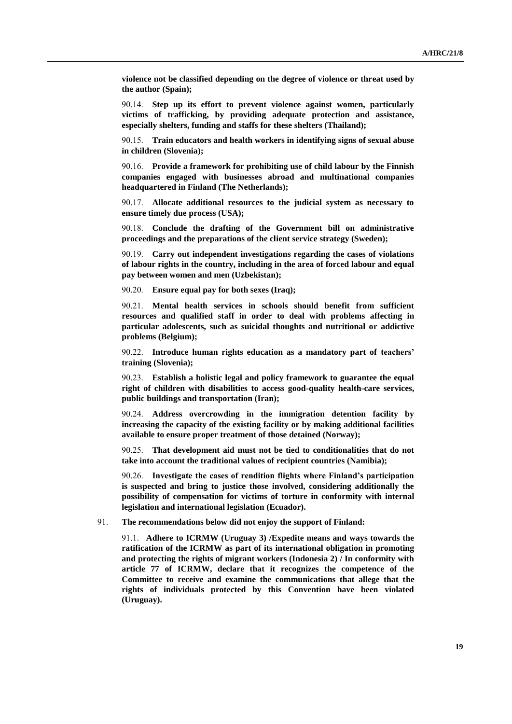**violence not be classified depending on the degree of violence or threat used by the author (Spain);**

90.14. **Step up its effort to prevent violence against women, particularly victims of trafficking, by providing adequate protection and assistance, especially shelters, funding and staffs for these shelters (Thailand);**

90.15. **Train educators and health workers in identifying signs of sexual abuse in children (Slovenia);**

90.16. **Provide a framework for prohibiting use of child labour by the Finnish companies engaged with businesses abroad and multinational companies headquartered in Finland (The Netherlands);**

90.17. **Allocate additional resources to the judicial system as necessary to ensure timely due process (USA);**

90.18. **Conclude the drafting of the Government bill on administrative proceedings and the preparations of the client service strategy (Sweden);**

90.19. **Carry out independent investigations regarding the cases of violations of labour rights in the country, including in the area of forced labour and equal pay between women and men (Uzbekistan);**

90.20. **Ensure equal pay for both sexes (Iraq);**

90.21. **Mental health services in schools should benefit from sufficient resources and qualified staff in order to deal with problems affecting in particular adolescents, such as suicidal thoughts and nutritional or addictive problems (Belgium);**

90.22. **Introduce human rights education as a mandatory part of teachers' training (Slovenia);**

90.23. **Establish a holistic legal and policy framework to guarantee the equal right of children with disabilities to access good-quality health-care services, public buildings and transportation (Iran);**

90.24. **Address overcrowding in the immigration detention facility by increasing the capacity of the existing facility or by making additional facilities available to ensure proper treatment of those detained (Norway);**

90.25. **That development aid must not be tied to conditionalities that do not take into account the traditional values of recipient countries (Namibia);**

90.26. **Investigate the cases of rendition flights where Finland's participation is suspected and bring to justice those involved, considering additionally the possibility of compensation for victims of torture in conformity with internal legislation and international legislation (Ecuador).**

91. **The recommendations below did not enjoy the support of Finland:**

91.1. **Adhere to ICRMW (Uruguay 3) /Expedite means and ways towards the ratification of the ICRMW as part of its international obligation in promoting and protecting the rights of migrant workers (Indonesia 2) / In conformity with article 77 of ICRMW, declare that it recognizes the competence of the Committee to receive and examine the communications that allege that the rights of individuals protected by this Convention have been violated (Uruguay).**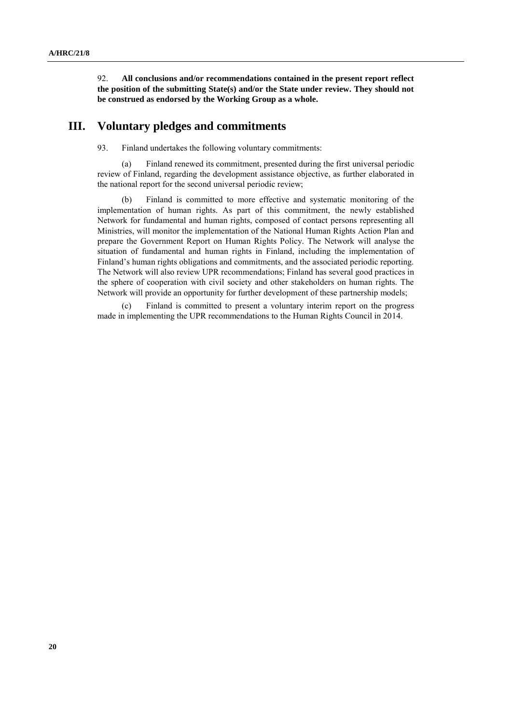92. **All conclusions and/or recommendations contained in the present report reflect the position of the submitting State(s) and/or the State under review. They should not be construed as endorsed by the Working Group as a whole.**

### **III. Voluntary pledges and commitments**

93. Finland undertakes the following voluntary commitments:

(a) Finland renewed its commitment, presented during the first universal periodic review of Finland, regarding the development assistance objective, as further elaborated in the national report for the second universal periodic review;

(b) Finland is committed to more effective and systematic monitoring of the implementation of human rights. As part of this commitment, the newly established Network for fundamental and human rights, composed of contact persons representing all Ministries, will monitor the implementation of the National Human Rights Action Plan and prepare the Government Report on Human Rights Policy. The Network will analyse the situation of fundamental and human rights in Finland, including the implementation of Finland's human rights obligations and commitments, and the associated periodic reporting. The Network will also review UPR recommendations; Finland has several good practices in the sphere of cooperation with civil society and other stakeholders on human rights. The Network will provide an opportunity for further development of these partnership models;

(c) Finland is committed to present a voluntary interim report on the progress made in implementing the UPR recommendations to the Human Rights Council in 2014.